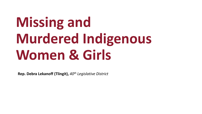## **Missing and Murdered Indigenous Women & Girls**

**Rep. Debra Lekanoff (Tlingit),** *40th Legislative District*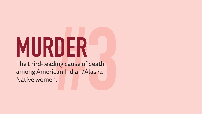# MURDER

The third-leading cause of death among American Indian/Alaska Native women.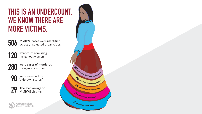#### THIS IS AN UNDERCOUNT. **WE KNOW THERE ARE MORE VICTIMS.**

MMIWG cases were identified 506 across 71 selected urban cities

were cases of missing 128 Indigenous women



were cases of murdered Indigenous women

were cases with an **98** were cases with a

The median age of<br>MMIWG victims 29

rban Indian

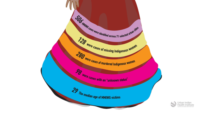

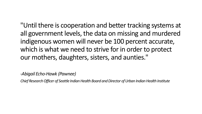"Until there is cooperation and better tracking systems at all government levels, the data on missing and murdered indigenous women will never be 100 percent accurate, which is what we need to strive for in order to protect our mothers, daughters, sisters, and aunties."

*-Abigail Echo-Hawk (Pawnee)*

*Chief Research Officer of Seattle Indian Health Board and Director of Urban Indian Health Institute*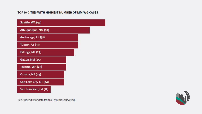#### TOP 10 CITIES WITH HIGHEST NUMBER OF MMIWG CASES

| Seattle, WA (45)        |  |
|-------------------------|--|
| Albuquerque, NM (37)    |  |
| Anchorage, AK (31)      |  |
| Tucson, AZ (31)         |  |
| Billings, MT (29)       |  |
| Gallup, NM (25)         |  |
| Tacoma, WA (25)         |  |
| Omaha, NE (24)          |  |
| Salt Lake City, UT (24) |  |
| San Francisco, CA (17)  |  |

See Appendix for data from all 71 cities surveyed.

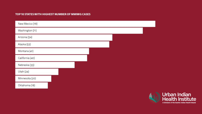#### TOP 10 STATES WITH HIGHEST NUMBER OF MMIWG CASES

| New Mexico (78) |  |
|-----------------|--|
| Washington (71) |  |
| Arizona (54)    |  |
| Alaska (52)     |  |
| Montana (41)    |  |
| California (40) |  |
| Nebraska (33)   |  |
| Utah $(24)$     |  |
| Minnesota (20)  |  |
| Oklahoma (18)   |  |

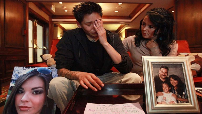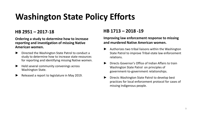### **Washington State Policy Efforts**

#### **HB 2951 – 2017-18**

**Ordering a study to determine how to increase reporting and investigation of missing Native American women.**

- ► Directed the Washington State Patrol to conduct a study to determine how to increase state resources for reporting and identifying missing Native women.
- Held several community convenings across Washington State.
- Released a report to legislature in May 2019.

#### **HB 1713 – 2018 -19**

#### **Improving law enforcement response to missing and murdered Native American women.**

- ► Authorizes two tribal liaisons within the Washington State Patrol to improve Tribal-state law enforcement relations.
- Directs Governor's Office of Indian Affairs to train Washington State Patrol on principles of government-to-government relationships.
- ► Directs Washington State Patrol to develop best practices for local enforcement protocol for cases of missing Indigenous people.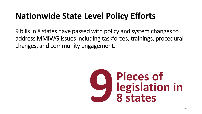#### **Nationwide State Level Policy Efforts**

9 bills in 8 states have passed with policy and system changes to address MMIWG issues including taskforces, trainings, procedural changes, and community engagement.

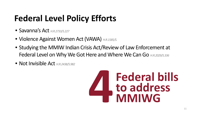## **Federal Level Policy Efforts**

- Savanna's Act *H.R.2733/S.227*
- Violence Against Women Act (VAWA) *H.R.1585/S.*
- Studying the MMIW Indian Crisis Act/Review of Law Enforcement at Federal Level on Why We Got Here and Where We Can Go *H.R.2029/S.336*
- Not Invisible Act *H.R.2438/S.982*

**Federal bills to address MMIWG**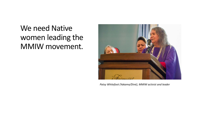#### We need Native women leading the MMIW movement.



*Patsy Whitefoot (Yakama/Diné), MMIW activist and leader*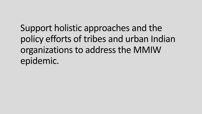Support holistic approaches and the policy efforts of tribes and urban Indian organizations to address the MMIW epidemic.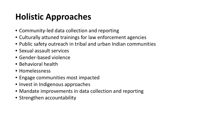## **Holistic Approaches**

- Community-led data collection and reporting
- Culturally attuned trainings for law enforcement agencies
- Public safety outreach in tribal and urban Indian communities
- Sexual assault services
- Gender-based violence
- Behavioral health
- Homelessness
- Engage communities most impacted
- Invest in Indigenous approaches
- Mandate improvements in data collection and reporting
- Strengthen accountability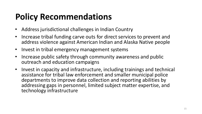## **Policy Recommendations**

- Address jurisdictional challenges in Indian Country
- Increase tribal funding carve outs for direct services to prevent and address violence against American Indian and Alaska Native people
- Invest in tribal emergency management systems
- Increase public safety through community awareness and public outreach and education campaigns
- Invest in capacity and infrastructure, including trainings and technical assistance for tribal law enforcement and smaller municipal police departments to improve data collection and reporting abilities by addressing gaps in personnel, limited subject matter expertise, and technology infrastructure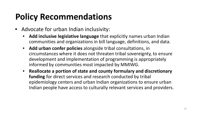## **Policy Recommendations**

- Advocate for urban Indian inclusivity:
	- **Add inclusive legislative language** that explicitly names urban Indian communities and organizations in bill language, definitions, and data.
	- **Add urban confer policies** alongside tribal consultations, in circumstances where it does not threaten tribal sovereignty, to ensure development and implementation of programming is appropriately informed by communities most impacted by MMIWG.
	- **Reallocate a portion of state and county formulary and discretionary funding** for direct services and research conducted by tribal epidemiology centers and urban Indian organizations to ensure urban Indian people have access to culturally relevant services and providers.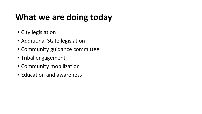## **What we are doing today**

- City legislation
- Additional State legislation
- Community guidance committee
- Tribal engagement
- Community mobilization
- Education and awareness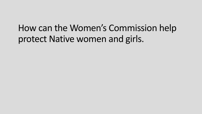## How can the Women's Commission help protect Native women and girls.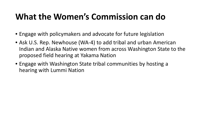#### **What the Women's Commission can do**

- Engage with policymakers and advocate for future legislation
- Ask U.S. Rep. Newhouse (WA-4) to add tribal and urban American Indian and Alaska Native women from across Washington State to the proposed field hearing at Yakama Nation
- Engage with Washington State tribal communities by hosting a hearing with Lummi Nation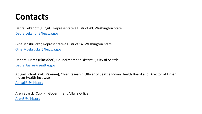#### **Contacts**

Debra Lekanoff (Tlingit), Representative District 40, Washington State [Debra.Lekanoff@leg.wa.gov](mailto:Debra.Lekanoff@leg.wa.gov)

Gina Mosbrucker, Representative District 14, Washington State [Gina.Mosbrucker@leg.wa.gov](mailto:Gina.Mosbrucker@leg.wa.gov)

Debora Juarez (Blackfeet), Councilmember District 5, City of Seattle [Debra.Juarez@seattle.gov](mailto:Debra.Juarez@seattle.gov)

Abigail Echo-Hawk (Pawnee), Chief Research Officer of Seattle Indian Health Board and Director of Urban<br>Indian Health Institute

[AbigailE@sihb.org](mailto:Abigaile@sihb.org)

Aren Sparck (Cup'ik), Government Affairs Officer [ArenS@sihb.org](mailto:ArenS@sihb.org)